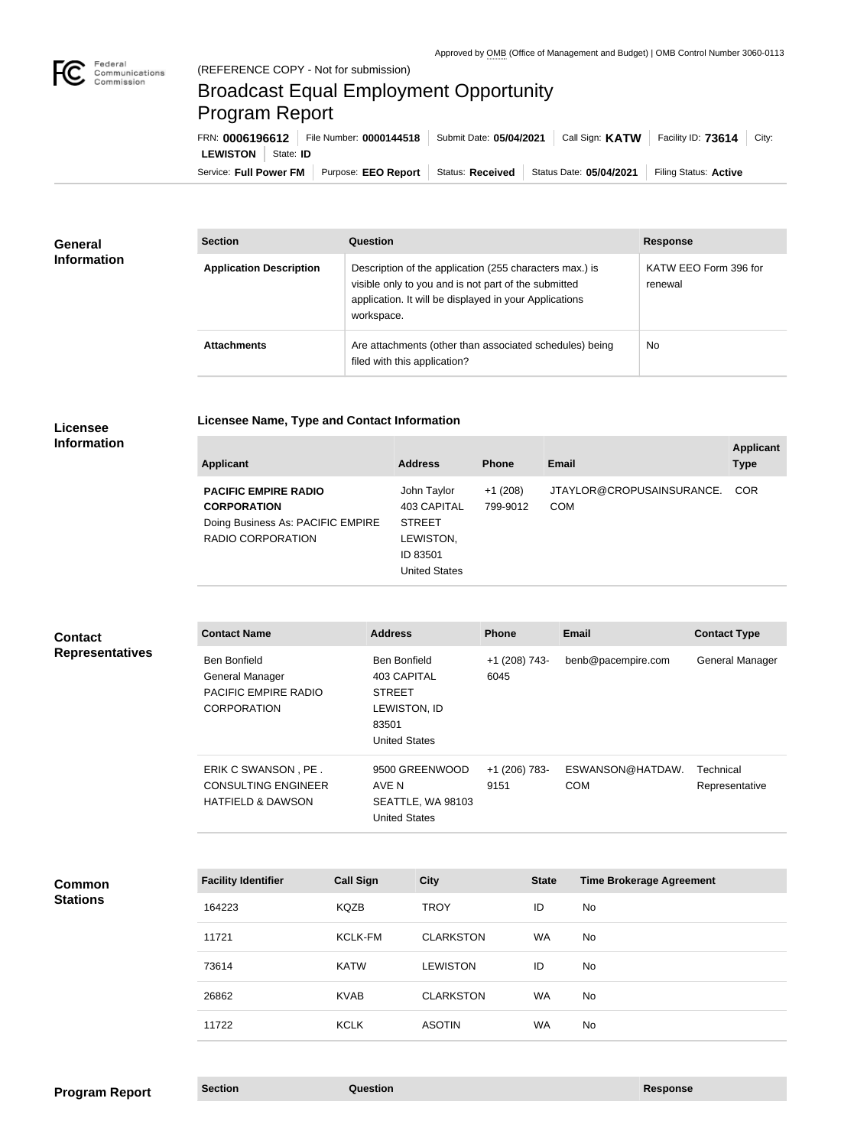

## Broadcast Equal Employment Opportunity Program Report

**Licensee Name, Type and Contact Information**

Service: Full Power FM Purpose: EEO Report | Status: Received | Status Date: 05/04/2021 | Filing Status: Active **LEWISTON** State: **ID** FRN: **0006196612** File Number: **0000144518** Submit Date: **05/04/2021** Call Sign: **KATW** Facility ID: **73614** City:

| <b>General</b><br><b>Information</b> | <b>Section</b>                 | <b>Question</b>                                                                                                                                                                         | <b>Response</b>                  |
|--------------------------------------|--------------------------------|-----------------------------------------------------------------------------------------------------------------------------------------------------------------------------------------|----------------------------------|
|                                      | <b>Application Description</b> | Description of the application (255 characters max.) is<br>visible only to you and is not part of the submitted<br>application. It will be displayed in your Applications<br>workspace. | KATW EEO Form 396 for<br>renewal |
|                                      | <b>Attachments</b>             | Are attachments (other than associated schedules) being<br>filed with this application?                                                                                                 | <b>No</b>                        |

## **Licensee Information**

| <b>Applicant</b>                                       | <b>Address</b>                                                 | <b>Phone</b>          | Email                                   | <b>Applicant</b><br><b>Type</b> |
|--------------------------------------------------------|----------------------------------------------------------------|-----------------------|-----------------------------------------|---------------------------------|
| <b>PACIFIC EMPIRE RADIO</b><br><b>CORPORATION</b>      | John Taylor<br>403 CAPITAL                                     | $+1(208)$<br>799-9012 | JTAYLOR@CROPUSAINSURANCE.<br><b>COM</b> | <b>COR</b>                      |
| Doing Business As: PACIFIC EMPIRE<br>RADIO CORPORATION | <b>STREET</b><br>LEWISTON,<br>ID 83501<br><b>United States</b> |                       |                                         |                                 |

| <b>Contact</b>         |
|------------------------|
| <b>Representatives</b> |

| <b>Contact Name</b>                                                                  | <b>Address</b>                         |                                                             | <b>Phone</b>          | <b>Email</b>                    | <b>Contact Type</b>         |
|--------------------------------------------------------------------------------------|----------------------------------------|-------------------------------------------------------------|-----------------------|---------------------------------|-----------------------------|
| <b>Ben Bonfield</b><br>General Manager<br>PACIFIC EMPIRE RADIO<br><b>CORPORATION</b> | Ben Bonfield<br><b>STREET</b><br>83501 | 403 CAPITAL<br>LEWISTON, ID<br><b>United States</b>         | +1 (208) 743-<br>6045 | benb@pacempire.com              | General Manager             |
| ERIK C SWANSON, PE.<br><b>CONSULTING ENGINEER</b><br><b>HATFIELD &amp; DAWSON</b>    | AVE N                                  | 9500 GREENWOOD<br>SEATTLE, WA 98103<br><b>United States</b> | +1 (206) 783-<br>9151 | ESWANSON@HATDAW.<br><b>COM</b>  | Technical<br>Representative |
| <b>Facility Identifier</b>                                                           | <b>Call Sign</b>                       | <b>City</b>                                                 | <b>State</b>          | <b>Time Brokerage Agreement</b> |                             |
| 164223                                                                               | <b>KQZB</b>                            | <b>TROY</b>                                                 | ID                    | <b>No</b>                       |                             |
| 11721                                                                                | <b>KCLK-FM</b>                         | <b>CLARKSTON</b>                                            | WA                    | No                              |                             |

**Common Stations**

73614 KATW LEWISTON ID No

26862 KVAB CLARKSTON WA No

11722 KCLK ASOTIN WA No